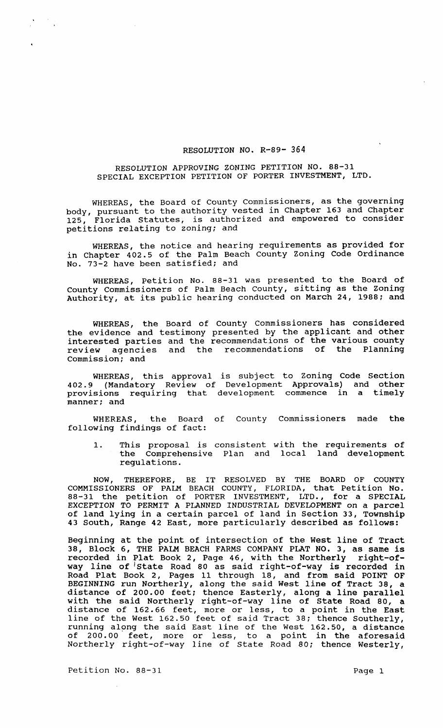## RESOLUTION NO. R-89- 364

# RESOLUTION APPROVING ZONING PETITION NO. 88-31 SPECIAL EXCEPTION PETITION OF PORTER INVESTMENT, LTD.

WHEREAS, the Board of County Commissioners, as the governing body, pursuant to the authority vested in Chapter 163 and Chapter 125, Florida Statutes, is authorized and empowered to consider petitions relating to zoning; and

WHEREAS, the notice and hearing requirements as provided for in Chapter 402.5 of the Palm Beach County zoning Code Ordinance No. 73-2 have been satisfied; and

WHEREAS, Petition No. 88-31 was presented to the Board of County Commissioners of Palm Beach county, sitting as the Zoning Authority, at its public hearing conducted on March 24, 1988; and

WHEREAS, the Board of County Commissioners has considered the evidence and testimony presented by the applicant and other interested parties and the recommendations of the various county review agencies and the recommendations of the Planning commission; and

WHEREAS, this approval is subject to Zoning Code Section 402.9 (Mandatory Review of Development Approvals) and other provisions requiring that development commence in a timely .<br>manner; and

WHEREAS, the Board of County Commissioners made the following findings of fact:

1. This proposal is consistent with the requirements of the Comprehensive Plan and local land development regulations.

NOW, THEREFORE, BE IT RESOLVED BY THE BOARD OF COUNTY COMMISSIONERS OF PALM BEACH COUNTY, FLORIDA, that Petition No. 88-31 the petition of PORTER INVESTMENT, LTD., for a SPECIAL EXCEPTION TO PERMIT A PLANNED INDUSTRIAL DEVELOPMENT on a parcel of land lying in a certain parcel of land in section 33, Township 43 South, Range 42 East, more particularly described as follows:

Beginning at the point of intersection of the West line of Tract beginning at the point of intersection of the west fine of flutt recorded in Plat Book 2, Page 46, with the Northerly right-ofrecorded in fine book 2, rage 40, when the horehold right of the of state Road 80 as said right-of-way is recorded in Road Plat Book 2, Pages 11 through 18, and from said POINT OF BEGINNING run Northerly, along the said West line of Tract 38, a BESIMMING IGHT NOIGHEIFF, GIONG ONE CARE WOOD ITHO OI TRACE 50, a with the said Northerly right-of-way line of State Road 80, a distance of 162.66 feet, more or less, to a point in the East line of the West 162.50 feet of said Tract 38; thence Southerly, rund of the west reason food of Bara frace of, enance Southerry, of 200.00 feet, more or less, to a point in the aforesaid Northerly right-of-way line of State Road 80; thence Westerly,

Petition No. 88-31 Page 1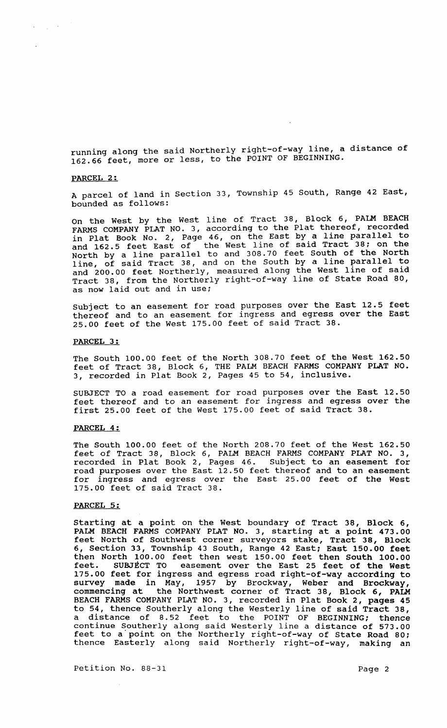running along the said Northerly right-of-way line, a distance of 162.66 feet, more or less, to the POINT OF BEGINNING.

### PARCEL 2:

 $\label{eq:1} \left\langle \mathbf{y}_{\mathrm{max}}\right\rangle_{\mathrm{max}}=\mathbf{y}_{\mathrm{max}}\left(\frac{1}{\sqrt{2}}\right)$ 

A parcel of land in Section 33, Township 45 South, Range 42 East, bounded as follows:

On the West by the West line of Tract 38, Block 6, PALM BEACH FARMS COMPANY PLAT NO. 3, according to the Plat thereof, recorded in Plat Book No.2, Page 46, on the East by a line parallel to and 162.5 feet East of the West line of said Tract 38; on the North by a line parallel to and 308.70 feet South of the North North by a line parallel to ana every south by a line parallel to and 200.00 feet Northerly, measured along the West line of said Tract 38, from the Northerly right-of-way line of State Road 80, as now laid out and in use;

subject to an easement for road purposes over the East 12.5 feet thereof and to an easement for ingress and egress over the East 25.00 feet of the West 175.00 feet of said Tract 38.

#### PARCEL 3:

The South 100.00 feet of the North 308.70 feet of the West 162.50 feet of Tract 38, Block 6, THE PALM BEACH FARMS COMPANY PLAT NO. 3, recorded in Plat Book 2, Pages 45 to 54, inclusive.

SUBJECT TO a road easement for road purposes over the East 12.50 feet thereof and to an easement for ingress and egress over the first 25.00 feet of the West 175.00 feet of said Tract 38.

## PARCEL 4:

The South 100.00 feet of the North 208.70 feet of the West 162.50 feet of Tract 38, Block 6, PALM BEACH FARMS COMPANY PLAT NO.3, recorded in Plat Book 2, Pages 46. Subject to an easement for road purposes over the East 12.50 feet thereof and to an easement for ingress and egress over the East 25.00 feet of the West 175.00 feet of said Tract 38.

### PARCEL 5:

starting at a point on the West boundary of Tract 38, Block 6, PALM BEACH FARMS COMPANY PLAT NO.3, starting at a point 473.00 feet North of Southwest corner surveyors stake, Tract 38, Block 6, section 33, Township 43 South, Range 42 East; East 150.00 feet then North 100.00 feet then west 150.00 feet then South 100.00 feet. SUBJECT TO easement over the East 25 feet of the west 175.00 feet for ingress and egress road right-of-way according to survey made in May, 1957 by Brockway, Weber and Brockway, commencing at the Northwest corner of Tract 38, Block 6, PALM BEACH FARMS COMPANY PLAT NO.3, recorded in Plat Book 2, pages 45 to 54, thence Southerly along the Westerly line of said Tract 38, a distance of 8.52 feet to the POINT OF BEGINNING; thence continue Southerly along said Westerly line a distance of 573.00 feet to a'point on the Northerly right-of-way of State Road 80; thence Easterly along said Northerly right-of-way, making an

Petition No. 88-31 Page 2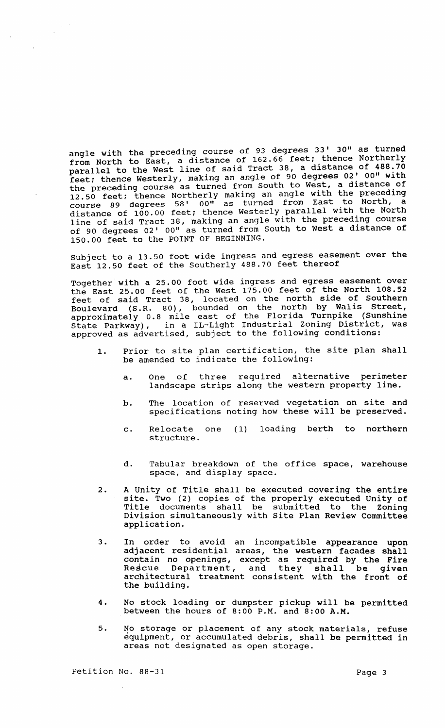angle with the preceding course of 93 degrees 33' 30" as turned angle with the presearing commonly of 162.66 feet; thence Northerly parallel to the West line of said Tract 38, a distance of 488.70 feet; thence Westerly, making an angle of 90 degrees 02' 00" with the preceding course as turned from South to West, a distance of 12.50 feet: thence Northerly making an angle with the preceding course 89 degrees 58' 00" as turned from East to North, a course of loo.00 feet; thence Westerly parallel with the North distance of 100:00 1000, ditting an angle with the preceding course of 90 degrees 02' 00" as turned from South to West a distance of 150.00 feet to the POINT OF BEGINNING.

subject to a 13.50 foot wide ingress and egress easement over the East 12.50 feet of the Southerly 488.70 feet thereof

Together with a 25.00 foot wide ingress and egress easement over the East 25.00 feet of the West 175.00 feet of the North 108.52 feet of said Tract 38, located on the north side of Southern Boulevard (S.R. 80), bounded on the north by Walis Street, approximately 0.8 mile east of the Florida Turnpike (Sunshine State Parkway), in a IL-Light Industrial Zoning District, was approved as advertised, subject to the following conditions:

- 1. Prior to site plan certification, the site plan shall be amended to indicate the following:
	- a. One of three required alternative perimeter landscape strips along the western property line.
	- b. The location of reserved vegetation on site and specifications noting how these will be preserved.
	- c. Relocate structure. ( 1) loading berth to northern
	- d. Tabular breakdown of the office space, warehouse space, and display space.
- 2. A unity of Title shall be executed covering the entire site. Two (2) copies of the properly executed Unity of Title documents shall be submitted to the Zoning Division simultaneously with site Plan Review committee application.
- 3. In order to avoid an incompatible appearance upon adjacent residential areas, the western facades shall contain no openings, except as required by the Fire contain no openings, except as required by the fire<br>Rescue Department, and they shall be given architectural treatment consistent with the front of the building.
- 4. No stock loading or dumpster pickup will be permitted between the hours of 8:00 P.M. and 8:00 A.M.
- 5. No storage or placement of any stock materials, refuse equipment, or accumulated debris, shall be permitted in areas not designated as open storage.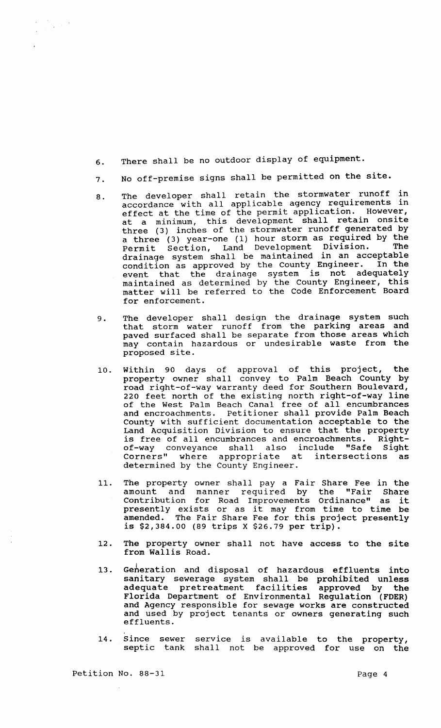- 6. There shall be no outdoor display of equipment.
- 7. No off-premise signs shall be permitted on the site.
- 8. The developer shall retain the stormwater runoff in accordance with all applicable agency requirements in effect at the time of the permit application. However, at a minimum, this development shall retain onsite three (3) inches of the stormwater runoff generated by a three (3) year-one (1) hour storm as required by the Permit section, Land Development Division. The Permit Section, Land Development Division. The<br>drainage system shall be maintained in an acceptable<br>condition as approved by the County Engineer. In the condition as approved by the County Engineer. event that the drainage system is not adequately maintained as determined by the County Engineer, this matter will be referred to the Code Enforcement Board for enforcement.
- 9. The developer shall design the drainage system such that storm water runoff from the parking areas and paved surfaced shall be separate from those areas which may contain hazardous or undesirable waste from the proposed site.
- 10. Within 90 days of approval of this project, the property owner shall convey to Palm Beach County by road right-of-way warranty deed for Southern Boulevard, 220 feet north of the existing north right-of-way line of the West Palm Beach Canal free of all encumbrances and encroachments. Petitioner shall provide Palm Beach County with sufficient documentation acceptable to the Land Acquisition Division to ensure that the property is free of all encumbrances and encroachments. Rightof-way conveyance shall also include "Safe Sight<br>Corners" where appropriate at intersections as Corners" where appropriate at determined by the County Engineer.
- 11. The property owner shall pay a Fair Share Fee in the amount and manner required by the "Fair Share Contribution for Road Improvements Ordinance" as it presently exists or as it may from time to time be amended. The Fair Share Fee for this project presently is \$2,384.00 (89 trips X \$26.79 per trip).
- 12. The property owner shall not have access to the site from Wallis Road.
- 13. Geheration and disposal of hazardous effluents into sanitary sewerage system shall be prohibited unless adequate pretreatment facilities approved by the Florida Department of Environmental Regulation (FDER) and Agency responsible for sewage works are constructed and used by project tenants or owners generating such effluents.
- 14. Since sewer service is available to the property, septic tank shall not be approved for use on the

Petition No. 88-31

 $\begin{aligned} \frac{1}{\sqrt{2}}\left(\frac{1}{\sqrt{2}}\right)^{2} & = \frac{1}{2}\left(\frac{1}{2}\right)^{2} \left(\frac{1}{2}\right)^{2} \end{aligned}$